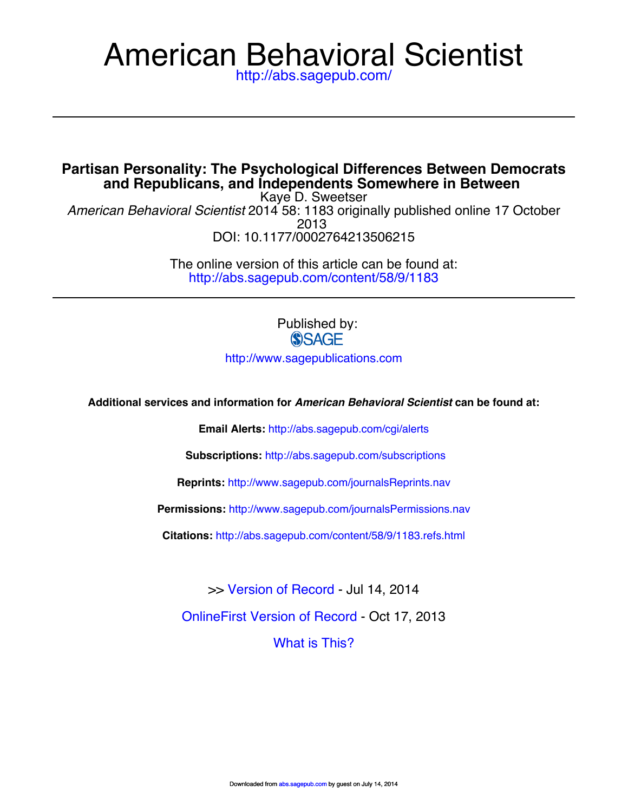American Behavioral Scientist

http://abs.sagepub.com/

# **and Republicans, and Independents Somewhere in Between Partisan Personality: The Psychological Differences Between Democrats**

DOI: 10.1177/0002764213506215 2013 *American Behavioral Scientist* 2014 58: 1183 originally published online 17 October Kaye D. Sweetser

> http://abs.sagepub.com/content/58/9/1183 The online version of this article can be found at:

> > Published by: **SSAGE** http://www.sagepublications.com

**Additional services and information for** *American Behavioral Scientist* **can be found at:**

**Email Alerts:** http://abs.sagepub.com/cgi/alerts

**Subscriptions:** http://abs.sagepub.com/subscriptions

**Reprints:** http://www.sagepub.com/journalsReprints.nav

**Permissions:** http://www.sagepub.com/journalsPermissions.nav

**Citations:** http://abs.sagepub.com/content/58/9/1183.refs.html

What is This? OnlineFirst Version of Record - Oct 17, 2013 >> Version of Record - Jul 14, 2014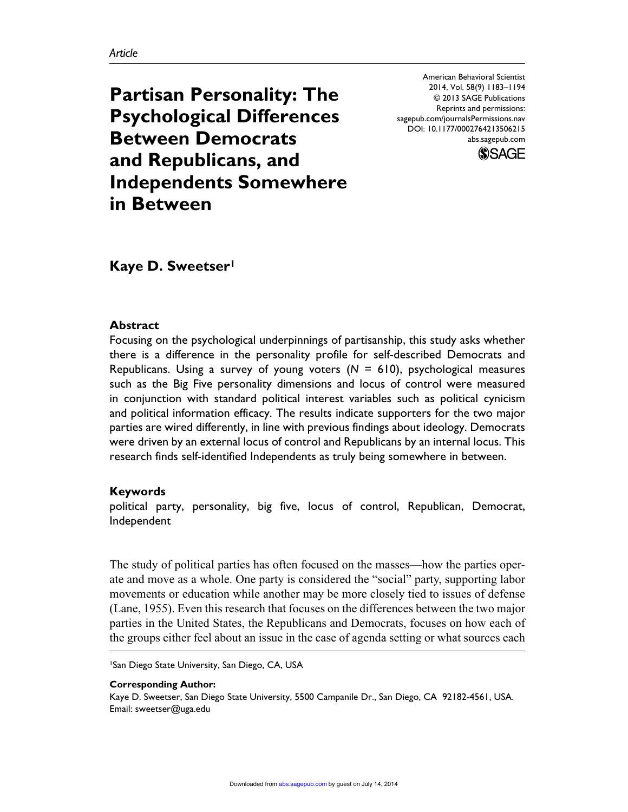**Partisan Personality: The Psychological Differences Between Democrats and Republicans, and Independents Somewhere in Between**

American Behavioral Scientist 2014, Vol. 58(9) 1183–1194 © 2013 SAGE Publications Reprints and permissions: sagepub.com/journalsPermissions.nav DOI: 10.1177/0002764213506215 abs.sagepub.com



**Kaye D. Sweetser1**

#### **Abstract**

Focusing on the psychological underpinnings of partisanship, this study asks whether there is a difference in the personality profile for self-described Democrats and Republicans. Using a survey of young voters  $(N = 610)$ , psychological measures such as the Big Five personality dimensions and locus of control were measured in conjunction with standard political interest variables such as political cynicism and political information efficacy. The results indicate supporters for the two major parties are wired differently, in line with previous findings about ideology. Democrats were driven by an external locus of control and Republicans by an internal locus. This research finds self-identified Independents as truly being somewhere in between.

#### **Keywords**

political party, personality, big five, locus of control, Republican, Democrat, Independent

The study of political parties has often focused on the masses—how the parties operate and move as a whole. One party is considered the "social" party, supporting labor movements or education while another may be more closely tied to issues of defense (Lane, 1955). Even this research that focuses on the differences between the two major parties in the United States, the Republicans and Democrats, focuses on how each of the groups either feel about an issue in the case of agenda setting or what sources each

#### **Corresponding Author:**

Kaye D. Sweetser, San Diego State University, 5500 Campanile Dr., San Diego, CA 92182-4561, USA. Email: sweetser@uga.edu

<sup>1</sup>San Diego State University, San Diego, CA, USA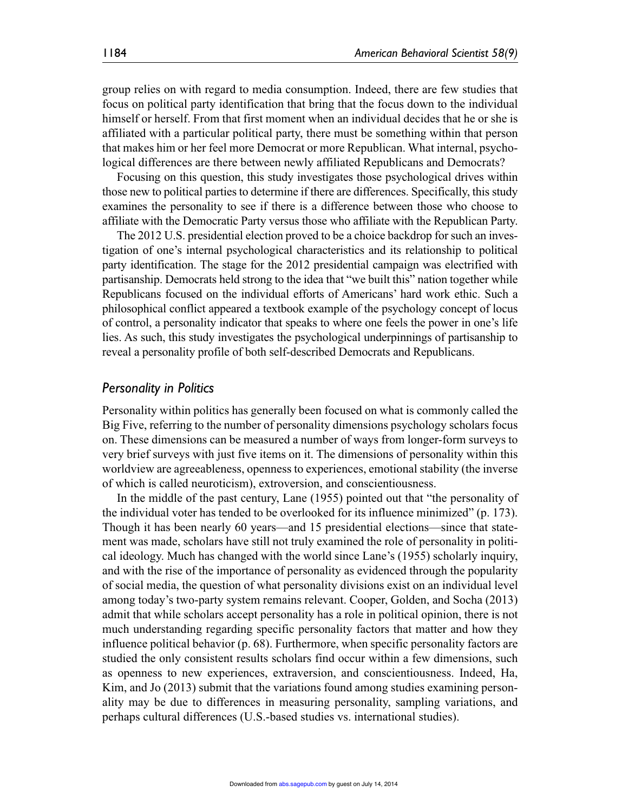group relies on with regard to media consumption. Indeed, there are few studies that focus on political party identification that bring that the focus down to the individual himself or herself. From that first moment when an individual decides that he or she is affiliated with a particular political party, there must be something within that person that makes him or her feel more Democrat or more Republican. What internal, psychological differences are there between newly affiliated Republicans and Democrats?

Focusing on this question, this study investigates those psychological drives within those new to political parties to determine if there are differences. Specifically, this study examines the personality to see if there is a difference between those who choose to affiliate with the Democratic Party versus those who affiliate with the Republican Party.

The 2012 U.S. presidential election proved to be a choice backdrop for such an investigation of one's internal psychological characteristics and its relationship to political party identification. The stage for the 2012 presidential campaign was electrified with partisanship. Democrats held strong to the idea that "we built this" nation together while Republicans focused on the individual efforts of Americans' hard work ethic. Such a philosophical conflict appeared a textbook example of the psychology concept of locus of control, a personality indicator that speaks to where one feels the power in one's life lies. As such, this study investigates the psychological underpinnings of partisanship to reveal a personality profile of both self-described Democrats and Republicans.

#### *Personality in Politics*

Personality within politics has generally been focused on what is commonly called the Big Five, referring to the number of personality dimensions psychology scholars focus on. These dimensions can be measured a number of ways from longer-form surveys to very brief surveys with just five items on it. The dimensions of personality within this worldview are agreeableness, openness to experiences, emotional stability (the inverse of which is called neuroticism), extroversion, and conscientiousness.

In the middle of the past century, Lane (1955) pointed out that "the personality of the individual voter has tended to be overlooked for its influence minimized" (p. 173). Though it has been nearly 60 years—and 15 presidential elections—since that statement was made, scholars have still not truly examined the role of personality in political ideology. Much has changed with the world since Lane's (1955) scholarly inquiry, and with the rise of the importance of personality as evidenced through the popularity of social media, the question of what personality divisions exist on an individual level among today's two-party system remains relevant. Cooper, Golden, and Socha (2013) admit that while scholars accept personality has a role in political opinion, there is not much understanding regarding specific personality factors that matter and how they influence political behavior (p. 68). Furthermore, when specific personality factors are studied the only consistent results scholars find occur within a few dimensions, such as openness to new experiences, extraversion, and conscientiousness. Indeed, Ha, Kim, and Jo (2013) submit that the variations found among studies examining personality may be due to differences in measuring personality, sampling variations, and perhaps cultural differences (U.S.-based studies vs. international studies).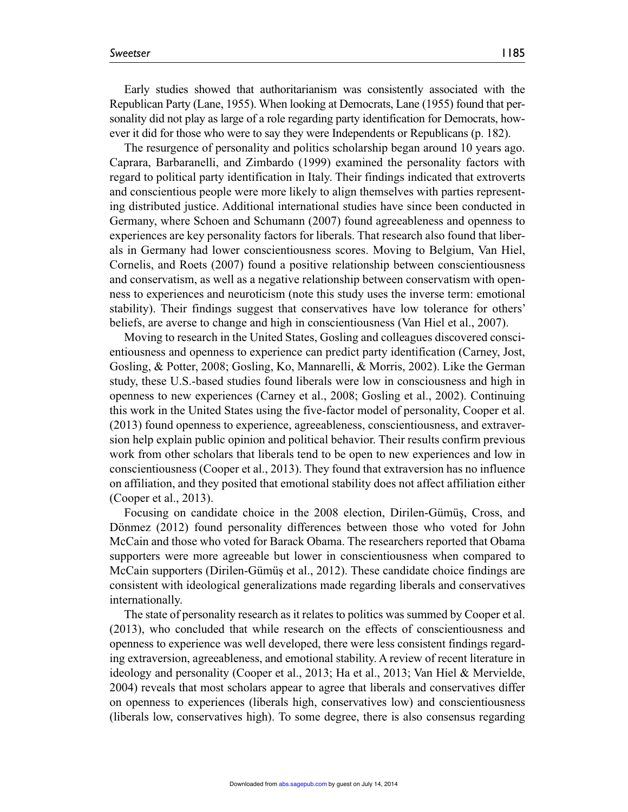Early studies showed that authoritarianism was consistently associated with the Republican Party (Lane, 1955). When looking at Democrats, Lane (1955) found that personality did not play as large of a role regarding party identification for Democrats, however it did for those who were to say they were Independents or Republicans (p. 182).

The resurgence of personality and politics scholarship began around 10 years ago. Caprara, Barbaranelli, and Zimbardo (1999) examined the personality factors with regard to political party identification in Italy. Their findings indicated that extroverts and conscientious people were more likely to align themselves with parties representing distributed justice. Additional international studies have since been conducted in Germany, where Schoen and Schumann (2007) found agreeableness and openness to experiences are key personality factors for liberals. That research also found that liberals in Germany had lower conscientiousness scores. Moving to Belgium, Van Hiel, Cornelis, and Roets (2007) found a positive relationship between conscientiousness and conservatism, as well as a negative relationship between conservatism with openness to experiences and neuroticism (note this study uses the inverse term: emotional stability). Their findings suggest that conservatives have low tolerance for others' beliefs, are averse to change and high in conscientiousness (Van Hiel et al., 2007).

Moving to research in the United States, Gosling and colleagues discovered conscientiousness and openness to experience can predict party identification (Carney, Jost, Gosling, & Potter, 2008; Gosling, Ko, Mannarelli, & Morris, 2002). Like the German study, these U.S.-based studies found liberals were low in consciousness and high in openness to new experiences (Carney et al., 2008; Gosling et al., 2002). Continuing this work in the United States using the five-factor model of personality, Cooper et al. (2013) found openness to experience, agreeableness, conscientiousness, and extraversion help explain public opinion and political behavior. Their results confirm previous work from other scholars that liberals tend to be open to new experiences and low in conscientiousness (Cooper et al., 2013). They found that extraversion has no influence on affiliation, and they posited that emotional stability does not affect affiliation either (Cooper et al., 2013).

Focusing on candidate choice in the 2008 election, Dirilen-Gümüş, Cross, and Dönmez (2012) found personality differences between those who voted for John McCain and those who voted for Barack Obama. The researchers reported that Obama supporters were more agreeable but lower in conscientiousness when compared to McCain supporters (Dirilen-Gümüş et al., 2012). These candidate choice findings are consistent with ideological generalizations made regarding liberals and conservatives internationally.

The state of personality research as it relates to politics was summed by Cooper et al. (2013), who concluded that while research on the effects of conscientiousness and openness to experience was well developed, there were less consistent findings regarding extraversion, agreeableness, and emotional stability. A review of recent literature in ideology and personality (Cooper et al., 2013; Ha et al., 2013; Van Hiel & Mervielde, 2004) reveals that most scholars appear to agree that liberals and conservatives differ on openness to experiences (liberals high, conservatives low) and conscientiousness (liberals low, conservatives high). To some degree, there is also consensus regarding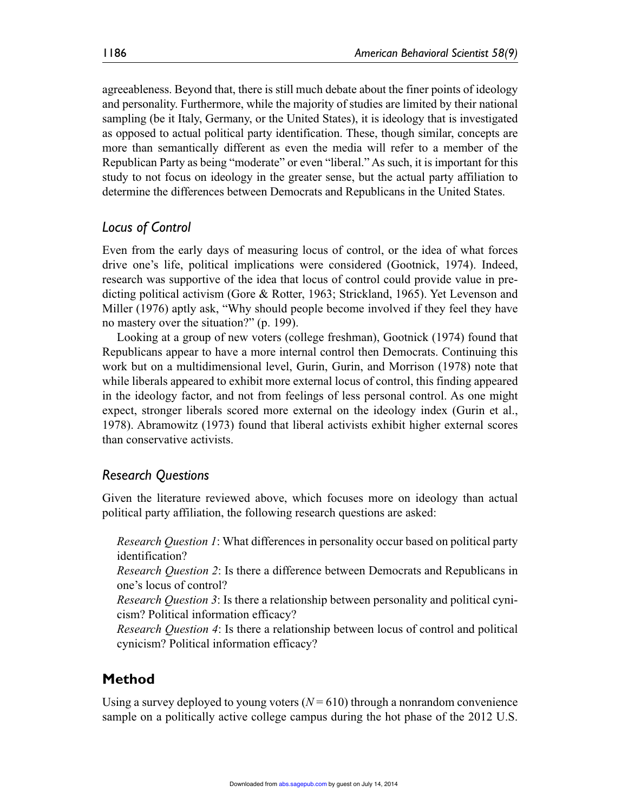agreeableness. Beyond that, there is still much debate about the finer points of ideology and personality. Furthermore, while the majority of studies are limited by their national sampling (be it Italy, Germany, or the United States), it is ideology that is investigated as opposed to actual political party identification. These, though similar, concepts are more than semantically different as even the media will refer to a member of the Republican Party as being "moderate" or even "liberal." As such, it is important for this study to not focus on ideology in the greater sense, but the actual party affiliation to determine the differences between Democrats and Republicans in the United States.

# *Locus of Control*

Even from the early days of measuring locus of control, or the idea of what forces drive one's life, political implications were considered (Gootnick, 1974). Indeed, research was supportive of the idea that locus of control could provide value in predicting political activism (Gore & Rotter, 1963; Strickland, 1965). Yet Levenson and Miller (1976) aptly ask, "Why should people become involved if they feel they have no mastery over the situation?" (p. 199).

Looking at a group of new voters (college freshman), Gootnick (1974) found that Republicans appear to have a more internal control then Democrats. Continuing this work but on a multidimensional level, Gurin, Gurin, and Morrison (1978) note that while liberals appeared to exhibit more external locus of control, this finding appeared in the ideology factor, and not from feelings of less personal control. As one might expect, stronger liberals scored more external on the ideology index (Gurin et al., 1978). Abramowitz (1973) found that liberal activists exhibit higher external scores than conservative activists.

#### *Research Questions*

Given the literature reviewed above, which focuses more on ideology than actual political party affiliation, the following research questions are asked:

*Research Question 1*: What differences in personality occur based on political party identification?

*Research Question 2*: Is there a difference between Democrats and Republicans in one's locus of control?

*Research Question 3*: Is there a relationship between personality and political cynicism? Political information efficacy?

*Research Question 4*: Is there a relationship between locus of control and political cynicism? Political information efficacy?

## **Method**

Using a survey deployed to young voters  $(N = 610)$  through a nonrandom convenience sample on a politically active college campus during the hot phase of the 2012 U.S.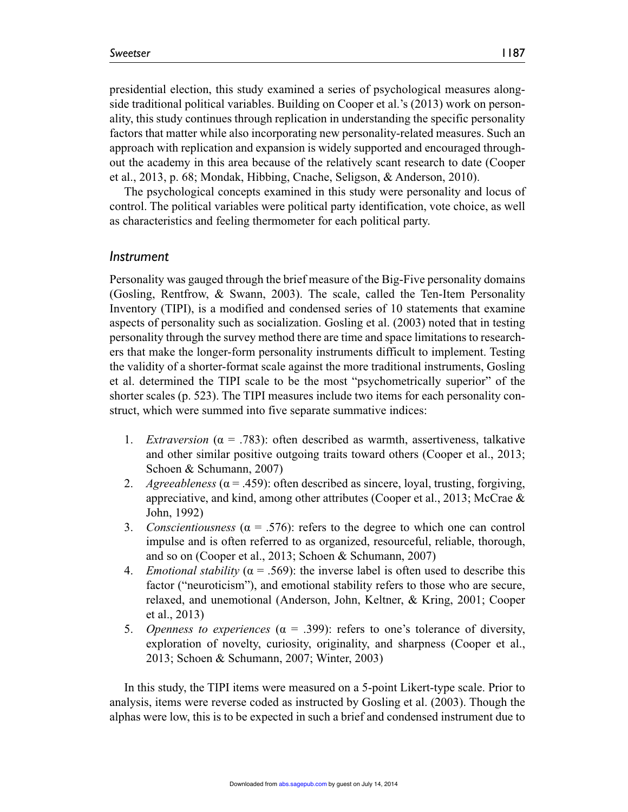presidential election, this study examined a series of psychological measures alongside traditional political variables. Building on Cooper et al.'s (2013) work on personality, this study continues through replication in understanding the specific personality factors that matter while also incorporating new personality-related measures. Such an approach with replication and expansion is widely supported and encouraged throughout the academy in this area because of the relatively scant research to date (Cooper et al., 2013, p. 68; Mondak, Hibbing, Cnache, Seligson, & Anderson, 2010).

The psychological concepts examined in this study were personality and locus of control. The political variables were political party identification, vote choice, as well as characteristics and feeling thermometer for each political party.

#### *Instrument*

Personality was gauged through the brief measure of the Big-Five personality domains (Gosling, Rentfrow, & Swann, 2003). The scale, called the Ten-Item Personality Inventory (TIPI), is a modified and condensed series of 10 statements that examine aspects of personality such as socialization. Gosling et al. (2003) noted that in testing personality through the survey method there are time and space limitations to researchers that make the longer-form personality instruments difficult to implement. Testing the validity of a shorter-format scale against the more traditional instruments, Gosling et al. determined the TIPI scale to be the most "psychometrically superior" of the shorter scales (p. 523). The TIPI measures include two items for each personality construct, which were summed into five separate summative indices:

- 1. *Extraversion* ( $\alpha$  = .783): often described as warmth, assertiveness, talkative and other similar positive outgoing traits toward others (Cooper et al., 2013; Schoen & Schumann, 2007)
- 2. *Agreeableness* (α = .459): often described as sincere, loyal, trusting, forgiving, appreciative, and kind, among other attributes (Cooper et al., 2013; McCrae & John, 1992)
- 3. *Conscientiousness* ( $\alpha$  = .576): refers to the degree to which one can control impulse and is often referred to as organized, resourceful, reliable, thorough, and so on (Cooper et al., 2013; Schoen & Schumann, 2007)
- 4. *Emotional stability* ( $\alpha$  = .569): the inverse label is often used to describe this factor ("neuroticism"), and emotional stability refers to those who are secure, relaxed, and unemotional (Anderson, John, Keltner, & Kring, 2001; Cooper et al., 2013)
- 5. *Openness to experiences* ( $\alpha$  = .399): refers to one's tolerance of diversity, exploration of novelty, curiosity, originality, and sharpness (Cooper et al., 2013; Schoen & Schumann, 2007; Winter, 2003)

In this study, the TIPI items were measured on a 5-point Likert-type scale. Prior to analysis, items were reverse coded as instructed by Gosling et al. (2003). Though the alphas were low, this is to be expected in such a brief and condensed instrument due to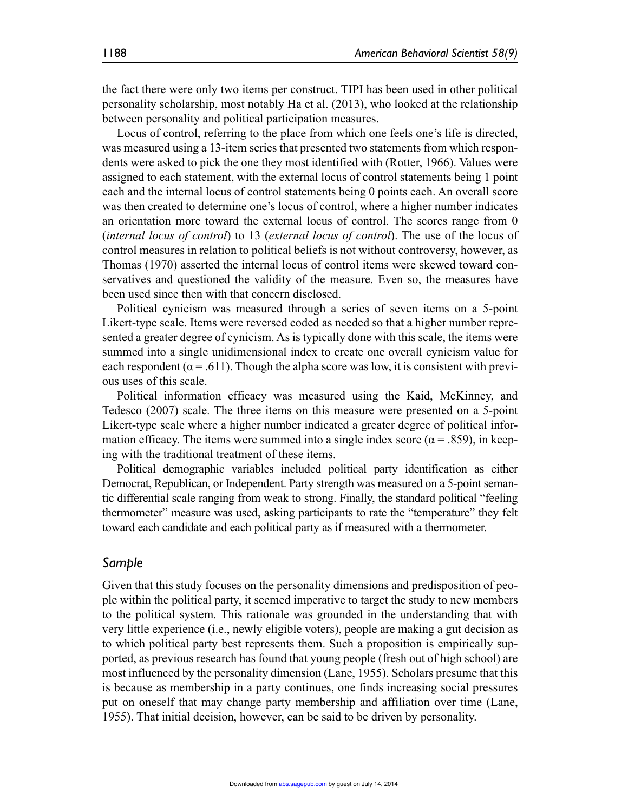the fact there were only two items per construct. TIPI has been used in other political personality scholarship, most notably Ha et al. (2013), who looked at the relationship between personality and political participation measures.

Locus of control, referring to the place from which one feels one's life is directed, was measured using a 13-item series that presented two statements from which respondents were asked to pick the one they most identified with (Rotter, 1966). Values were assigned to each statement, with the external locus of control statements being 1 point each and the internal locus of control statements being 0 points each. An overall score was then created to determine one's locus of control, where a higher number indicates an orientation more toward the external locus of control. The scores range from 0 (*internal locus of control*) to 13 (*external locus of control*). The use of the locus of control measures in relation to political beliefs is not without controversy, however, as Thomas (1970) asserted the internal locus of control items were skewed toward conservatives and questioned the validity of the measure. Even so, the measures have been used since then with that concern disclosed.

Political cynicism was measured through a series of seven items on a 5-point Likert-type scale. Items were reversed coded as needed so that a higher number represented a greater degree of cynicism. As is typically done with this scale, the items were summed into a single unidimensional index to create one overall cynicism value for each respondent ( $\alpha$  = .611). Though the alpha score was low, it is consistent with previous uses of this scale.

Political information efficacy was measured using the Kaid, McKinney, and Tedesco (2007) scale. The three items on this measure were presented on a 5-point Likert-type scale where a higher number indicated a greater degree of political information efficacy. The items were summed into a single index score ( $\alpha$  = .859), in keeping with the traditional treatment of these items.

Political demographic variables included political party identification as either Democrat, Republican, or Independent. Party strength was measured on a 5-point semantic differential scale ranging from weak to strong. Finally, the standard political "feeling thermometer" measure was used, asking participants to rate the "temperature" they felt toward each candidate and each political party as if measured with a thermometer.

#### *Sample*

Given that this study focuses on the personality dimensions and predisposition of people within the political party, it seemed imperative to target the study to new members to the political system. This rationale was grounded in the understanding that with very little experience (i.e., newly eligible voters), people are making a gut decision as to which political party best represents them. Such a proposition is empirically supported, as previous research has found that young people (fresh out of high school) are most influenced by the personality dimension (Lane, 1955). Scholars presume that this is because as membership in a party continues, one finds increasing social pressures put on oneself that may change party membership and affiliation over time (Lane, 1955). That initial decision, however, can be said to be driven by personality.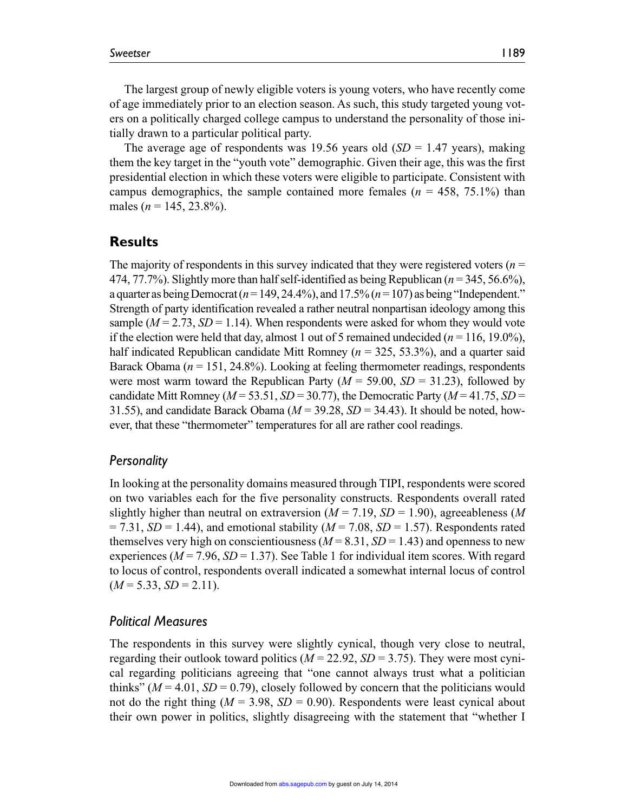The largest group of newly eligible voters is young voters, who have recently come of age immediately prior to an election season. As such, this study targeted young voters on a politically charged college campus to understand the personality of those initially drawn to a particular political party.

The average age of respondents was 19.56 years old  $(SD = 1.47$  years), making them the key target in the "youth vote" demographic. Given their age, this was the first presidential election in which these voters were eligible to participate. Consistent with campus demographics, the sample contained more females  $(n = 458, 75.1\%)$  than males ( $n = 145, 23.8\%$ ).

## **Results**

The majority of respondents in this survey indicated that they were registered voters ( $n =$ 474, 77.7%). Slightly more than half self-identified as being Republican (*n* = 345, 56.6%), a quarter as being Democrat  $(n = 149, 24.4\%)$ , and  $17.5\%$   $(n = 107)$  as being "Independent." Strength of party identification revealed a rather neutral nonpartisan ideology among this sample  $(M = 2.73, SD = 1.14)$ . When respondents were asked for whom they would vote if the election were held that day, almost 1 out of 5 remained undecided  $(n = 116, 19.0\%)$ , half indicated Republican candidate Mitt Romney  $(n = 325, 53.3\%)$ , and a quarter said Barack Obama (*n* = 151, 24.8%). Looking at feeling thermometer readings, respondents were most warm toward the Republican Party  $(M = 59.00, SD = 31.23)$ , followed by candidate Mitt Romney ( $M = 53.51$ ,  $SD = 30.77$ ), the Democratic Party ( $M = 41.75$ ,  $SD =$ 31.55), and candidate Barack Obama ( $M = 39.28$ ,  $SD = 34.43$ ). It should be noted, however, that these "thermometer" temperatures for all are rather cool readings.

## *Personality*

In looking at the personality domains measured through TIPI, respondents were scored on two variables each for the five personality constructs. Respondents overall rated slightly higher than neutral on extraversion (*M* = 7.19, *SD* = 1.90), agreeableness (*M*  $= 7.31, SD = 1.44$ ), and emotional stability ( $M = 7.08$ ,  $SD = 1.57$ ). Respondents rated themselves very high on conscientiousness  $(M = 8.31, SD = 1.43)$  and openness to new experiences  $(M = 7.96, SD = 1.37)$ . See Table 1 for individual item scores. With regard to locus of control, respondents overall indicated a somewhat internal locus of control  $(M = 5.33, SD = 2.11).$ 

#### *Political Measures*

The respondents in this survey were slightly cynical, though very close to neutral, regarding their outlook toward politics ( $M = 22.92$ ,  $SD = 3.75$ ). They were most cynical regarding politicians agreeing that "one cannot always trust what a politician thinks" ( $M = 4.01$ ,  $SD = 0.79$ ), closely followed by concern that the politicians would not do the right thing ( $M = 3.98$ ,  $SD = 0.90$ ). Respondents were least cynical about their own power in politics, slightly disagreeing with the statement that "whether I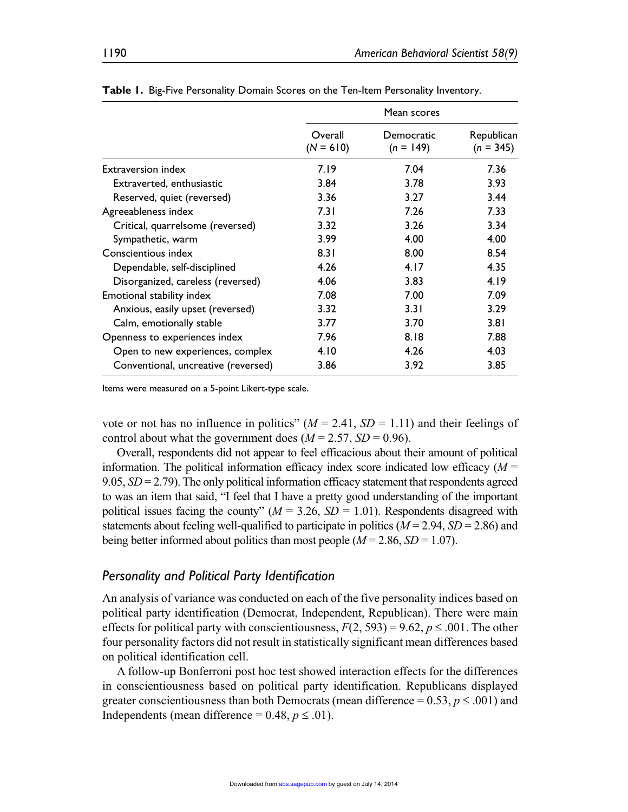|                                     | Mean scores            |                           |                           |
|-------------------------------------|------------------------|---------------------------|---------------------------|
|                                     | Overall<br>$(N = 610)$ | Democratic<br>$(n = 149)$ | Republican<br>$(n = 345)$ |
| <b>Extraversion index</b>           | 7.19                   | 7.04                      | 7.36                      |
| Extraverted, enthusiastic           | 3.84                   | 3.78                      | 3.93                      |
| Reserved, quiet (reversed)          | 3.36                   | 3.27                      | 3.44                      |
| Agreeableness index                 | 7.31                   | 7.26                      | 7.33                      |
| Critical, quarrelsome (reversed)    | 3.32                   | 3.26                      | 3.34                      |
| Sympathetic, warm                   | 3.99                   | 4.00                      | 4.00                      |
| Conscientious index                 | 8.31                   | 8.00                      | 8.54                      |
| Dependable, self-disciplined        | 4.26                   | 4.17                      | 4.35                      |
| Disorganized, careless (reversed)   | 4.06                   | 3.83                      | 4.19                      |
| Emotional stability index           | 7.08                   | 7.00                      | 7.09                      |
| Anxious, easily upset (reversed)    | 3.32                   | 3.31                      | 3.29                      |
| Calm, emotionally stable            | 3.77                   | 3.70                      | 3.81                      |
| Openness to experiences index       | 7.96                   | 8.18                      | 7.88                      |
| Open to new experiences, complex    | 4.10                   | 4.26                      | 4.03                      |
| Conventional, uncreative (reversed) | 3.86                   | 3.92                      | 3.85                      |

**Table 1.** Big-Five Personality Domain Scores on the Ten-Item Personality Inventory.

Items were measured on a 5-point Likert-type scale.

vote or not has no influence in politics"  $(M = 2.41, SD = 1.11)$  and their feelings of control about what the government does  $(M = 2.57, SD = 0.96)$ .

Overall, respondents did not appear to feel efficacious about their amount of political information. The political information efficacy index score indicated low efficacy  $(M =$ 9.05, *SD* = 2.79). The only political information efficacy statement that respondents agreed to was an item that said, "I feel that I have a pretty good understanding of the important political issues facing the county" ( $M = 3.26$ ,  $SD = 1.01$ ). Respondents disagreed with statements about feeling well-qualified to participate in politics  $(M = 2.94, SD = 2.86)$  and being better informed about politics than most people  $(M = 2.86, SD = 1.07)$ .

#### *Personality and Political Party Identification*

An analysis of variance was conducted on each of the five personality indices based on political party identification (Democrat, Independent, Republican). There were main effects for political party with conscientiousness,  $F(2, 593) = 9.62$ ,  $p \le 0.001$ . The other four personality factors did not result in statistically significant mean differences based on political identification cell.

A follow-up Bonferroni post hoc test showed interaction effects for the differences in conscientiousness based on political party identification. Republicans displayed greater conscientiousness than both Democrats (mean difference  $= 0.53$ ,  $p \le .001$ ) and Independents (mean difference =  $0.48$ ,  $p \le .01$ ).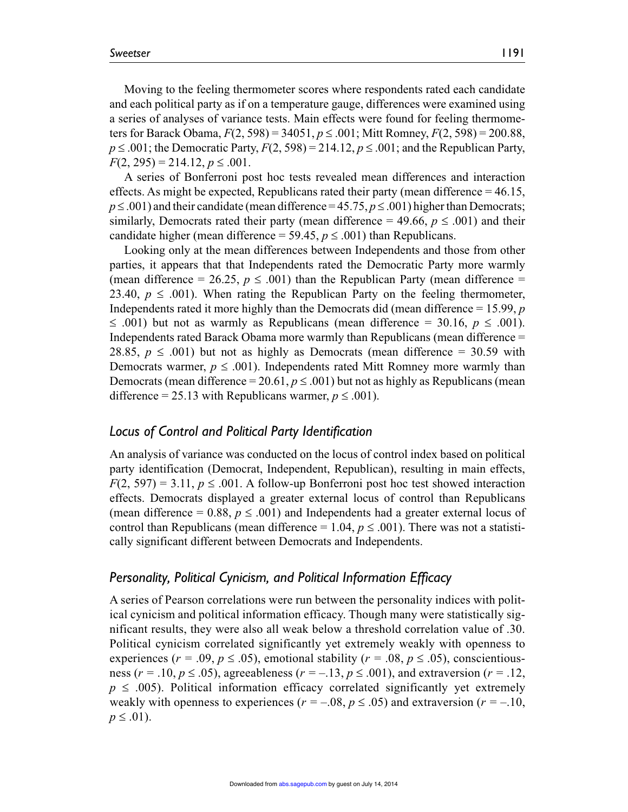Moving to the feeling thermometer scores where respondents rated each candidate and each political party as if on a temperature gauge, differences were examined using a series of analyses of variance tests. Main effects were found for feeling thermometers for Barack Obama,  $F(2, 598) = 34051$ ,  $p \le .001$ ; Mitt Romney,  $F(2, 598) = 200.88$ ,  $p \le 0.001$ ; the Democratic Party,  $F(2, 598) = 214.12$ ,  $p \le 0.001$ ; and the Republican Party,  $F(2, 295) = 214.12, p \le .001$ .

A series of Bonferroni post hoc tests revealed mean differences and interaction effects. As might be expected, Republicans rated their party (mean difference  $= 46.15$ ,  $p \le .001$ ) and their candidate (mean difference = 45.75,  $p \le .001$ ) higher than Democrats; similarly, Democrats rated their party (mean difference =  $49.66$ ,  $p \le 0.001$ ) and their candidate higher (mean difference = 59.45,  $p \le 0.001$ ) than Republicans.

Looking only at the mean differences between Independents and those from other parties, it appears that that Independents rated the Democratic Party more warmly (mean difference = 26.25,  $p \leq .001$ ) than the Republican Party (mean difference = 23.40,  $p \le 0.001$ ). When rating the Republican Party on the feeling thermometer, Independents rated it more highly than the Democrats did (mean difference = 15.99, *p*  $\leq$  .001) but not as warmly as Republicans (mean difference = 30.16,  $p \leq$  .001). Independents rated Barack Obama more warmly than Republicans (mean difference = 28.85,  $p \leq .001$ ) but not as highly as Democrats (mean difference = 30.59 with Democrats warmer,  $p \leq .001$ ). Independents rated Mitt Romney more warmly than Democrats (mean difference =  $20.61$ ,  $p \le 0.001$ ) but not as highly as Republicans (mean difference = 25.13 with Republicans warmer,  $p \le 0.001$ ).

#### *Locus of Control and Political Party Identification*

An analysis of variance was conducted on the locus of control index based on political party identification (Democrat, Independent, Republican), resulting in main effects,  $F(2, 597) = 3.11$ ,  $p \le 0.001$ . A follow-up Bonferroni post hoc test showed interaction effects. Democrats displayed a greater external locus of control than Republicans (mean difference = 0.88,  $p \leq .001$ ) and Independents had a greater external locus of control than Republicans (mean difference =  $1.04$ ,  $p \le 0.001$ ). There was not a statistically significant different between Democrats and Independents.

### *Personality, Political Cynicism, and Political Information Efficacy*

A series of Pearson correlations were run between the personality indices with political cynicism and political information efficacy. Though many were statistically significant results, they were also all weak below a threshold correlation value of .30. Political cynicism correlated significantly yet extremely weakly with openness to experiences ( $r = .09$ ,  $p \le .05$ ), emotional stability ( $r = .08$ ,  $p \le .05$ ), conscientiousness ( $r = .10$ ,  $p \le .05$ ), agreeableness ( $r = -.13$ ,  $p \le .001$ ), and extraversion ( $r = .12$ ,  $p \leq .005$ ). Political information efficacy correlated significantly yet extremely weakly with openness to experiences ( $r = -0.08$ ,  $p \le 0.05$ ) and extraversion ( $r = -1.10$ ,  $p \leq .01$ ).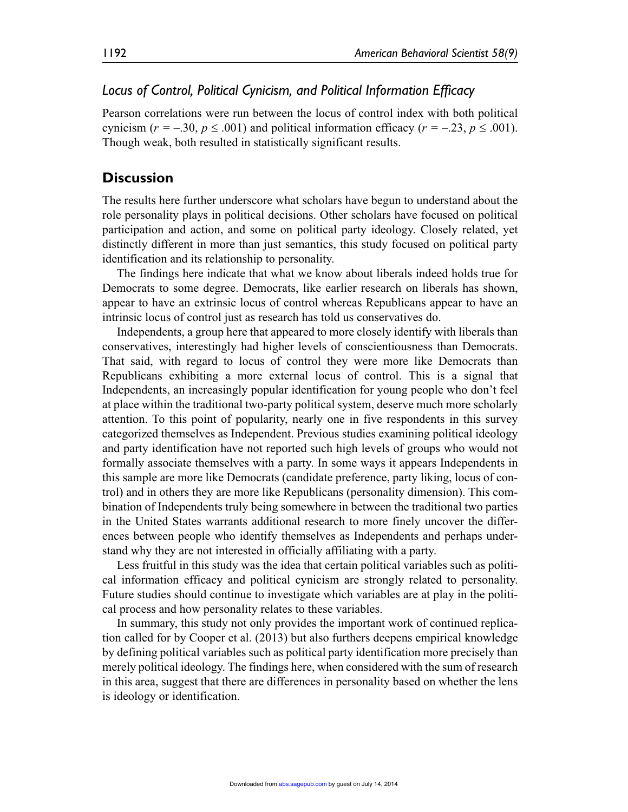# *Locus of Control, Political Cynicism, and Political Information Efficacy*

Pearson correlations were run between the locus of control index with both political cynicism ( $r = -0.30$ ,  $p \le 0.001$ ) and political information efficacy ( $r = -0.23$ ,  $p \le 0.001$ ). Though weak, both resulted in statistically significant results.

## **Discussion**

The results here further underscore what scholars have begun to understand about the role personality plays in political decisions. Other scholars have focused on political participation and action, and some on political party ideology. Closely related, yet distinctly different in more than just semantics, this study focused on political party identification and its relationship to personality.

The findings here indicate that what we know about liberals indeed holds true for Democrats to some degree. Democrats, like earlier research on liberals has shown, appear to have an extrinsic locus of control whereas Republicans appear to have an intrinsic locus of control just as research has told us conservatives do.

Independents, a group here that appeared to more closely identify with liberals than conservatives, interestingly had higher levels of conscientiousness than Democrats. That said, with regard to locus of control they were more like Democrats than Republicans exhibiting a more external locus of control. This is a signal that Independents, an increasingly popular identification for young people who don't feel at place within the traditional two-party political system, deserve much more scholarly attention. To this point of popularity, nearly one in five respondents in this survey categorized themselves as Independent. Previous studies examining political ideology and party identification have not reported such high levels of groups who would not formally associate themselves with a party. In some ways it appears Independents in this sample are more like Democrats (candidate preference, party liking, locus of control) and in others they are more like Republicans (personality dimension). This combination of Independents truly being somewhere in between the traditional two parties in the United States warrants additional research to more finely uncover the differences between people who identify themselves as Independents and perhaps understand why they are not interested in officially affiliating with a party.

Less fruitful in this study was the idea that certain political variables such as political information efficacy and political cynicism are strongly related to personality. Future studies should continue to investigate which variables are at play in the political process and how personality relates to these variables.

In summary, this study not only provides the important work of continued replication called for by Cooper et al. (2013) but also furthers deepens empirical knowledge by defining political variables such as political party identification more precisely than merely political ideology. The findings here, when considered with the sum of research in this area, suggest that there are differences in personality based on whether the lens is ideology or identification.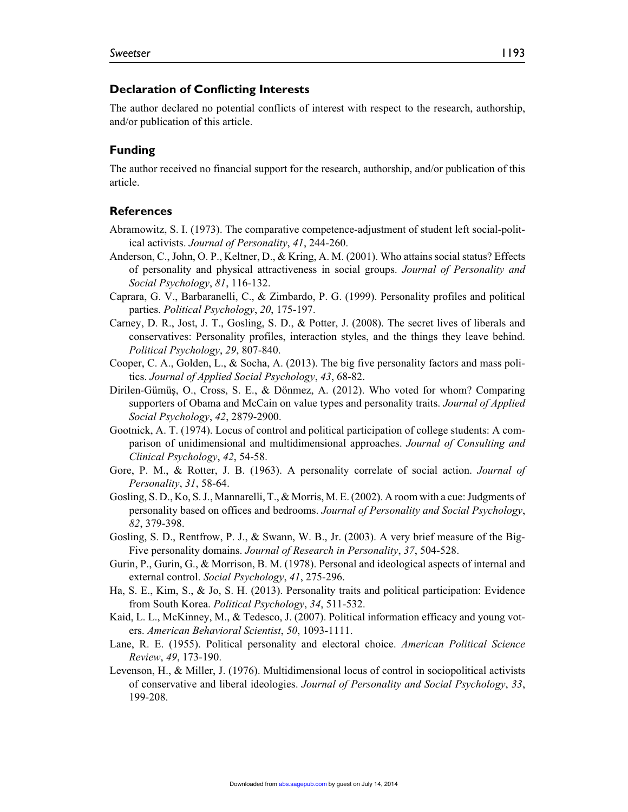#### **Declaration of Conflicting Interests**

The author declared no potential conflicts of interest with respect to the research, authorship, and/or publication of this article.

#### **Funding**

The author received no financial support for the research, authorship, and/or publication of this article.

#### **References**

- Abramowitz, S. I. (1973). The comparative competence-adjustment of student left social-political activists. *Journal of Personality*, *41*, 244-260.
- Anderson, C., John, O. P., Keltner, D., & Kring, A. M. (2001). Who attains social status? Effects of personality and physical attractiveness in social groups. *Journal of Personality and Social Psychology*, *81*, 116-132.
- Caprara, G. V., Barbaranelli, C., & Zimbardo, P. G. (1999). Personality profiles and political parties. *Political Psychology*, *20*, 175-197.
- Carney, D. R., Jost, J. T., Gosling, S. D., & Potter, J. (2008). The secret lives of liberals and conservatives: Personality profiles, interaction styles, and the things they leave behind. *Political Psychology*, *29*, 807-840.
- Cooper, C. A., Golden, L., & Socha, A. (2013). The big five personality factors and mass politics. *Journal of Applied Social Psychology*, *43*, 68-82.
- Dirilen-Gümüş, O., Cross, S. E., & Dönmez, A. (2012). Who voted for whom? Comparing supporters of Obama and McCain on value types and personality traits. *Journal of Applied Social Psychology*, *42*, 2879-2900.
- Gootnick, A. T. (1974). Locus of control and political participation of college students: A comparison of unidimensional and multidimensional approaches. *Journal of Consulting and Clinical Psychology*, *42*, 54-58.
- Gore, P. M., & Rotter, J. B. (1963). A personality correlate of social action. *Journal of Personality*, *31*, 58-64.
- Gosling, S. D., Ko, S. J., Mannarelli, T., & Morris, M. E. (2002). A room with a cue: Judgments of personality based on offices and bedrooms. *Journal of Personality and Social Psychology*, *82*, 379-398.
- Gosling, S. D., Rentfrow, P. J., & Swann, W. B., Jr. (2003). A very brief measure of the Big-Five personality domains. *Journal of Research in Personality*, *37*, 504-528.
- Gurin, P., Gurin, G., & Morrison, B. M. (1978). Personal and ideological aspects of internal and external control. *Social Psychology*, *41*, 275-296.
- Ha, S. E., Kim, S., & Jo, S. H. (2013). Personality traits and political participation: Evidence from South Korea. *Political Psychology*, *34*, 511-532.
- Kaid, L. L., McKinney, M., & Tedesco, J. (2007). Political information efficacy and young voters. *American Behavioral Scientist*, *50*, 1093-1111.
- Lane, R. E. (1955). Political personality and electoral choice. *American Political Science Review*, *49*, 173-190.
- Levenson, H., & Miller, J. (1976). Multidimensional locus of control in sociopolitical activists of conservative and liberal ideologies. *Journal of Personality and Social Psychology*, *33*, 199-208.